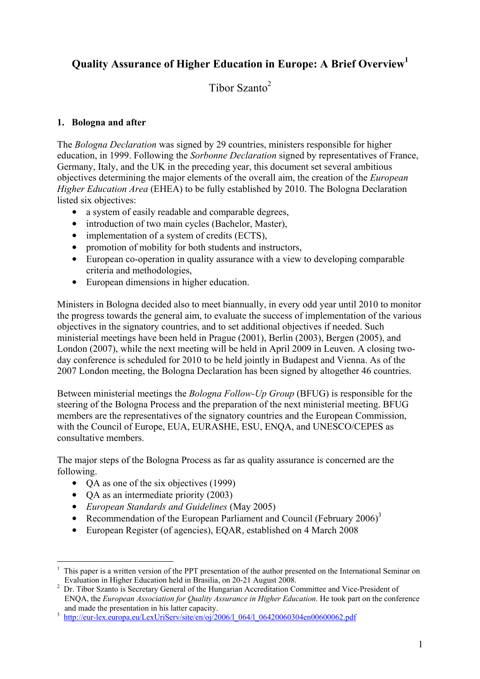# **Quality Assurance of Higher Education in Europe: A Brief Overview<sup>1</sup>**

Tibor Szanto $2$ 

### **1. Bologna and after**

The *Bologna Declaration* was signed by 29 countries, ministers responsible for higher education, in 1999. Following the *Sorbonne Declaration* signed by representatives of France, Germany, Italy, and the UK in the preceding year, this document set several ambitious objectives determining the major elements of the overall aim, the creation of the *European Higher Education Area* (EHEA) to be fully established by 2010. The Bologna Declaration listed six objectives:

- a system of easily readable and comparable degrees,
- introduction of two main cycles (Bachelor, Master),
- implementation of a system of credits (ECTS),
- promotion of mobility for both students and instructors,
- European co-operation in quality assurance with a view to developing comparable criteria and methodologies,
- European dimensions in higher education.

Ministers in Bologna decided also to meet biannually, in every odd year until 2010 to monitor the progress towards the general aim, to evaluate the success of implementation of the various objectives in the signatory countries, and to set additional objectives if needed. Such ministerial meetings have been held in Prague (2001), Berlin (2003), Bergen (2005), and London (2007), while the next meeting will be held in April 2009 in Leuven. A closing twoday conference is scheduled for 2010 to be held jointly in Budapest and Vienna. As of the 2007 London meeting, the Bologna Declaration has been signed by altogether 46 countries.

Between ministerial meetings the *Bologna Follow-Up Group* (BFUG) is responsible for the steering of the Bologna Process and the preparation of the next ministerial meeting. BFUG members are the representatives of the signatory countries and the European Commission, with the Council of Europe, EUA, EURASHE, ESU, ENQA, and UNESCO/CEPES as consultative members.

The major steps of the Bologna Process as far as quality assurance is concerned are the following.

- OA as one of the six objectives (1999)
- QA as an intermediate priority (2003)

1

- *European Standards and Guidelines* (May 2005)
- Recommendation of the European Parliament and Council (February  $2006$ )<sup>3</sup>
- European Register (of agencies), EQAR, established on 4 March 2008

<sup>1</sup> This paper is a written version of the PPT presentation of the author presented on the International Seminar on Evaluation in Higher Education held in Brasilia, on 20-21 August 2008. 2

Dr. Tibor Szanto is Secretary General of the Hungarian Accreditation Committee and Vice-President of ENQA, the *European Association for Quality Assurance in Higher Education*. He took part on the conference and made the presentation in his latter capacity.

http://eur-lex.europa.eu/LexUriServ/site/en/oj/2006/l\_064/l\_06420060304en00600062.pdf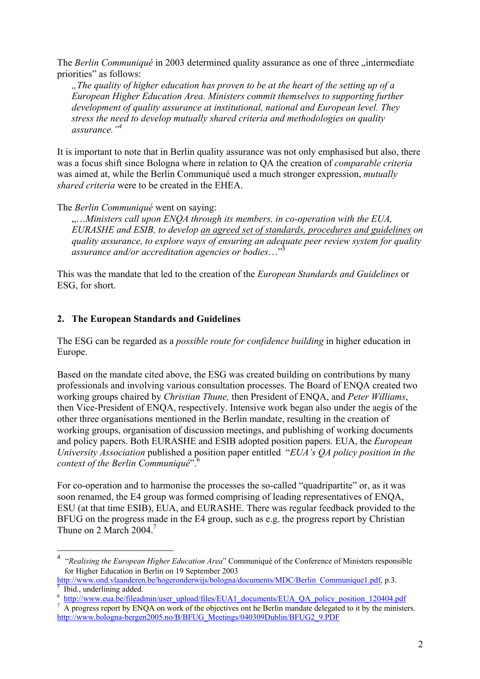The *Berlin Communiqué* in 2003 determined quality assurance as one of three "intermediate priorities" as follows:

*"The quality of higher education has proven to be at the heart of the setting up of a European Higher Education Area. Ministers commit themselves to supporting further development of quality assurance at institutional, national and European level. They stress the need to develop mutually shared criteria and methodologies on quality assurance."4*

It is important to note that in Berlin quality assurance was not only emphasised but also, there was a focus shift since Bologna where in relation to QA the creation of *comparable criteria*  was aimed at, while the Berlin Communiqué used a much stronger expression, *mutually shared criteria* were to be created in the EHEA.

The *Berlin Communiqué* went on saying:

"…*Ministers call upon ENQA through its members, in co-operation with the EUA, EURASHE and ESIB, to develop an agreed set of standards, procedures and guidelines on quality assurance, to explore ways of ensuring an adequate peer review system for quality assurance and/or accreditation agencies or bodies*…"5

This was the mandate that led to the creation of the *European Standards and Guidelines* or ESG, for short.

#### **2. The European Standards and Guidelines**

1

The ESG can be regarded as a *possible route for confidence building* in higher education in Europe.

Based on the mandate cited above, the ESG was created building on contributions by many professionals and involving various consultation processes. The Board of ENQA created two working groups chaired by *Christian Thune,* then President of ENQA, and *Peter Williams*, then Vice-President of ENQA, respectively. Intensive work began also under the aegis of the other three organisations mentioned in the Berlin mandate, resulting in the creation of working groups, organisation of discussion meetings, and publishing of working documents and policy papers. Both EURASHE and ESIB adopted position papers. EUA, the *European University Association* published a position paper entitled "*EUA's QA policy position in the context of the Berlin Communiqué*".6

For co-operation and to harmonise the processes the so-called "quadripartite" or, as it was soon renamed, the E4 group was formed comprising of leading representatives of ENQA, ESU (at that time ESIB), EUA, and EURASHE. There was regular feedback provided to the BFUG on the progress made in the E4 group, such as e.g. the progress report by Christian Thune on 2 March 2004.<sup>7</sup>

<sup>4</sup> "*Realising the European Higher Education Area*" Communiqué of the Conference of Ministers responsible for Higher Education in Berlin on 19 September 2003

http://www.ond.vlaanderen.be/hogeronderwijs/bologna/documents/MDC/Berlin\_Communique1.pdf, p.3. Ibid., underlining added.

<sup>6</sup> http://www.eua.be/fileadmin/user\_upload/files/EUA1\_documents/EUA\_QA\_policy\_position\_120404.pdf

A progress report by ENQA on work of the objectives ont he Berlin mandate delegated to it by the ministers. http://www.bologna-bergen2005.no/B/BFUG\_Meetings/040309Dublin/BFUG2\_9.PDF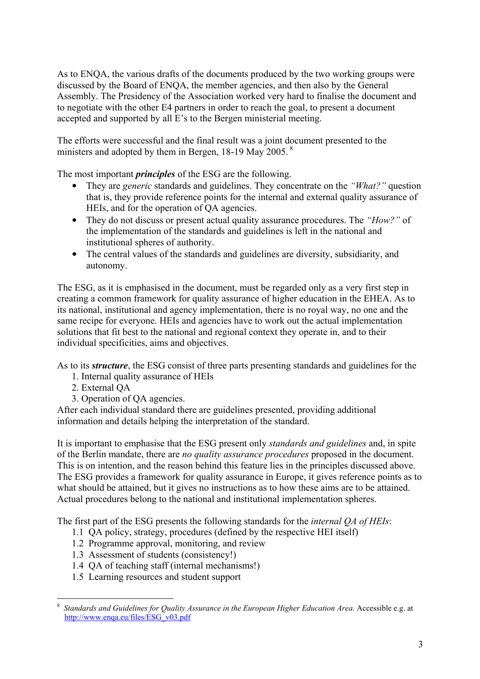As to ENQA, the various drafts of the documents produced by the two working groups were discussed by the Board of ENQA, the member agencies, and then also by the General Assembly. The Presidency of the Association worked very hard to finalise the document and to negotiate with the other E4 partners in order to reach the goal, to present a document accepted and supported by all E's to the Bergen ministerial meeting.

The efforts were successful and the final result was a joint document presented to the ministers and adopted by them in Bergen, 18-19 May 2005.<sup>8</sup>

The most important *principles* of the ESG are the following.

- They are *generic* standards and guidelines. They concentrate on the *"What?"* question that is, they provide reference points for the internal and external quality assurance of HEIs, and for the operation of QA agencies.
- They do not discuss or present actual quality assurance procedures. The *"How?"* of the implementation of the standards and guidelines is left in the national and institutional spheres of authority.
- The central values of the standards and guidelines are diversity, subsidiarity, and autonomy.

The ESG, as it is emphasised in the document, must be regarded only as a very first step in creating a common framework for quality assurance of higher education in the EHEA. As to its national, institutional and agency implementation, there is no royal way, no one and the same recipe for everyone. HEIs and agencies have to work out the actual implementation solutions that fit best to the national and regional context they operate in, and to their individual specificities, aims and objectives.

As to its *structure*, the ESG consist of three parts presenting standards and guidelines for the

- 1. Internal quality assurance of HEIs
- 2. External QA
- 3. Operation of QA agencies.

After each individual standard there are guidelines presented, providing additional information and details helping the interpretation of the standard.

It is important to emphasise that the ESG present only *standards and guidelines* and, in spite of the Berlin mandate, there are *no quality assurance procedures* proposed in the document. This is on intention, and the reason behind this feature lies in the principles discussed above. The ESG provides a framework for quality assurance in Europe, it gives reference points as to what should be attained, but it gives no instructions as to how these aims are to be attained. Actual procedures belong to the national and institutional implementation spheres.

The first part of the ESG presents the following standards for the *internal QA of HEIs*:

- 1.1 QA policy, strategy, procedures (defined by the respective HEI itself)
- 1.2 Programme approval, monitoring, and review
- 1.3 Assessment of students (consistency!)
- 1.4 QA of teaching staff (internal mechanisms!)
- 1.5 Learning resources and student support

<sup>1</sup> 8 *Standards and Guidelines for Quality Assurance in the European Higher Education Area.* Accessible e.g. at http://www.enqa.eu/files/ESG\_v03.pdf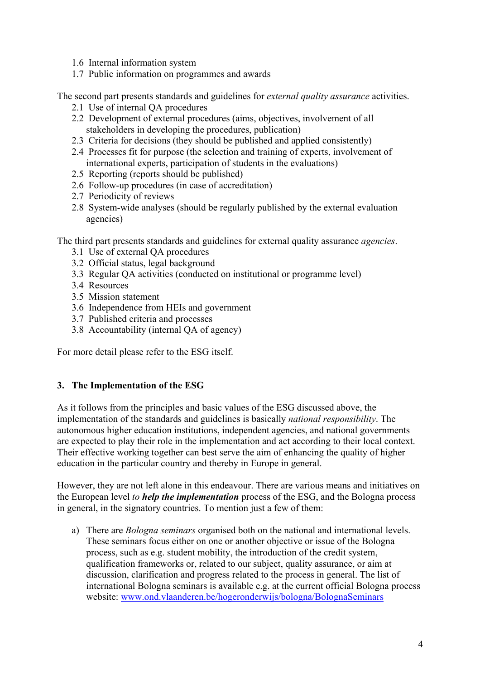- 1.6 Internal information system
- 1.7 Public information on programmes and awards

The second part presents standards and guidelines for *external quality assurance* activities.

- 2.1 Use of internal QA procedures
- 2.2 Development of external procedures (aims, objectives, involvement of all stakeholders in developing the procedures, publication)
- 2.3 Criteria for decisions (they should be published and applied consistently)
- 2.4 Processes fit for purpose (the selection and training of experts, involvement of international experts, participation of students in the evaluations)
- 2.5 Reporting (reports should be published)
- 2.6 Follow-up procedures (in case of accreditation)
- 2.7 Periodicity of reviews
- 2.8 System-wide analyses (should be regularly published by the external evaluation agencies)

The third part presents standards and guidelines for external quality assurance *agencies*.

- 3.1 Use of external QA procedures
- 3.2 Official status, legal background
- 3.3 Regular QA activities (conducted on institutional or programme level)
- 3.4 Resources
- 3.5 Mission statement
- 3.6 Independence from HEIs and government
- 3.7 Published criteria and processes
- 3.8 Accountability (internal QA of agency)

For more detail please refer to the ESG itself.

#### **3. The Implementation of the ESG**

As it follows from the principles and basic values of the ESG discussed above, the implementation of the standards and guidelines is basically *national responsibility*. The autonomous higher education institutions, independent agencies, and national governments are expected to play their role in the implementation and act according to their local context. Their effective working together can best serve the aim of enhancing the quality of higher education in the particular country and thereby in Europe in general.

However, they are not left alone in this endeavour. There are various means and initiatives on the European level *to help the implementation* process of the ESG, and the Bologna process in general, in the signatory countries. To mention just a few of them:

a) There are *Bologna seminars* organised both on the national and international levels. These seminars focus either on one or another objective or issue of the Bologna process, such as e.g. student mobility, the introduction of the credit system, qualification frameworks or, related to our subject, quality assurance, or aim at discussion, clarification and progress related to the process in general. The list of international Bologna seminars is available e.g. at the current official Bologna process website: www.ond.vlaanderen.be/hogeronderwijs/bologna/BolognaSeminars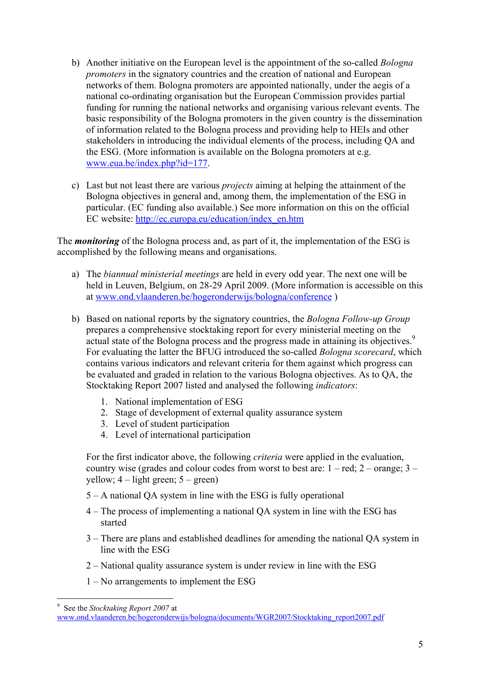- b) Another initiative on the European level is the appointment of the so-called *Bologna promoters* in the signatory countries and the creation of national and European networks of them. Bologna promoters are appointed nationally, under the aegis of a national co-ordinating organisation but the European Commission provides partial funding for running the national networks and organising various relevant events. The basic responsibility of the Bologna promoters in the given country is the dissemination of information related to the Bologna process and providing help to HEIs and other stakeholders in introducing the individual elements of the process, including QA and the ESG. (More information is available on the Bologna promoters at e.g. www.eua.be/index.php?id=177.
- c) Last but not least there are various *projects* aiming at helping the attainment of the Bologna objectives in general and, among them, the implementation of the ESG in particular. (EC funding also available.) See more information on this on the official EC website: http://ec.europa.eu/education/index\_en.htm

The *monitoring* of the Bologna process and, as part of it, the implementation of the ESG is accomplished by the following means and organisations.

- a) The *biannual ministerial meetings* are held in every odd year. The next one will be held in Leuven, Belgium, on 28-29 April 2009. (More information is accessible on this at www.ond.vlaanderen.be/hogeronderwijs/bologna/conference )
- b) Based on national reports by the signatory countries, the *Bologna Follow-up Group* prepares a comprehensive stocktaking report for every ministerial meeting on the actual state of the Bologna process and the progress made in attaining its objectives.<sup>9</sup> For evaluating the latter the BFUG introduced the so-called *Bologna scorecard*, which contains various indicators and relevant criteria for them against which progress can be evaluated and graded in relation to the various Bologna objectives. As to QA, the Stocktaking Report 2007 listed and analysed the following *indicators*:
	- 1. National implementation of ESG
	- 2. Stage of development of external quality assurance system
	- 3. Level of student participation
	- 4. Level of international participation

For the first indicator above, the following *criteria* were applied in the evaluation, country wise (grades and colour codes from worst to best are:  $1 - red$ ;  $2 - orange$ ;  $3$ yellow;  $4 -$ light green;  $5 -$ green)

- 5 A national QA system in line with the ESG is fully operational
- 4 The process of implementing a national QA system in line with the ESG has started
- 3 There are plans and established deadlines for amending the national QA system in line with the ESG
- 2 National quality assurance system is under review in line with the ESG
- 1 No arrangements to implement the ESG

<sup>1</sup> 9 See the *Stocktaking Report 2007* at

www.ond.vlaanderen.be/hogeronderwijs/bologna/documents/WGR2007/Stocktaking\_report2007.pdf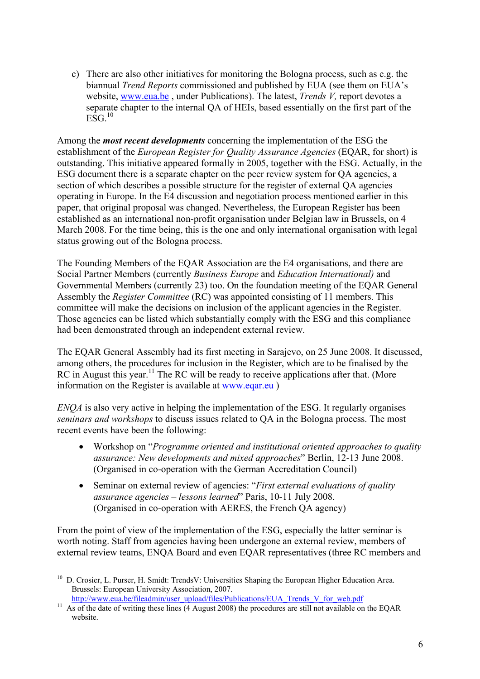c) There are also other initiatives for monitoring the Bologna process, such as e.g. the biannual *Trend Reports* commissioned and published by EUA (see them on EUA's website, www.eua.be , under Publications). The latest, *Trends V,* report devotes a separate chapter to the internal QA of HEIs, based essentially on the first part of the  $ESG^{10}$ 

Among the *most recent developments* concerning the implementation of the ESG the establishment of the *European Register for Quality Assurance Agencies* (EQAR, for short) is outstanding. This initiative appeared formally in 2005, together with the ESG. Actually, in the ESG document there is a separate chapter on the peer review system for QA agencies, a section of which describes a possible structure for the register of external QA agencies operating in Europe. In the E4 discussion and negotiation process mentioned earlier in this paper, that original proposal was changed. Nevertheless, the European Register has been established as an international non-profit organisation under Belgian law in Brussels, on 4 March 2008. For the time being, this is the one and only international organisation with legal status growing out of the Bologna process.

The Founding Members of the EQAR Association are the E4 organisations, and there are Social Partner Members (currently *Business Europe* and *Education International)* and Governmental Members (currently 23) too. On the foundation meeting of the EQAR General Assembly the *Register Committee* (RC) was appointed consisting of 11 members. This committee will make the decisions on inclusion of the applicant agencies in the Register. Those agencies can be listed which substantially comply with the ESG and this compliance had been demonstrated through an independent external review.

The EQAR General Assembly had its first meeting in Sarajevo, on 25 June 2008. It discussed, among others, the procedures for inclusion in the Register, which are to be finalised by the RC in August this year.<sup>11</sup> The RC will be ready to receive applications after that. (More information on the Register is available at www.eqar.eu )

*ENQA* is also very active in helping the implementation of the ESG. It regularly organises *seminars and workshops* to discuss issues related to QA in the Bologna process. The most recent events have been the following:

- Workshop on "*Programme oriented and institutional oriented approaches to quality assurance: New developments and mixed approaches*" Berlin, 12-13 June 2008. (Organised in co-operation with the German Accreditation Council)
- Seminar on external review of agencies: "*First external evaluations of quality assurance agencies – lessons learned*" Paris, 10-11 July 2008. (Organised in co-operation with AERES, the French QA agency)

From the point of view of the implementation of the ESG, especially the latter seminar is worth noting. Staff from agencies having been undergone an external review, members of external review teams, ENQA Board and even EQAR representatives (three RC members and

1

<sup>&</sup>lt;sup>10</sup> D. Crosier, L. Purser, H. Smidt: TrendsV: Universities Shaping the European Higher Education Area. Brussels: European University Association, 2007.

http://www.eua.be/fileadmin/user\_upload/files/Publications/EUA\_Trends\_V\_for\_web.pdf <br><sup>11</sup> As of the date of writing these lines (4 August 2008) the procedures are still not available on the EQAR website.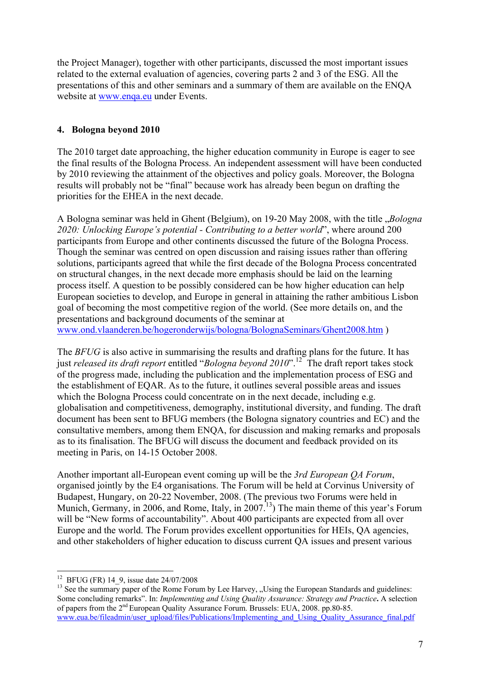the Project Manager), together with other participants, discussed the most important issues related to the external evaluation of agencies, covering parts 2 and 3 of the ESG. All the presentations of this and other seminars and a summary of them are available on the ENQA website at www.enqa.eu under Events.

## **4. Bologna beyond 2010**

The 2010 target date approaching, the higher education community in Europe is eager to see the final results of the Bologna Process. An independent assessment will have been conducted by 2010 reviewing the attainment of the objectives and policy goals. Moreover, the Bologna results will probably not be "final" because work has already been begun on drafting the priorities for the EHEA in the next decade.

A Bologna seminar was held in Ghent (Belgium), on 19-20 May 2008, with the title *"Bologna 2020: Unlocking Europe's potential - Contributing to a better world*", where around 200 participants from Europe and other continents discussed the future of the Bologna Process. Though the seminar was centred on open discussion and raising issues rather than offering solutions, participants agreed that while the first decade of the Bologna Process concentrated on structural changes, in the next decade more emphasis should be laid on the learning process itself. A question to be possibly considered can be how higher education can help European societies to develop, and Europe in general in attaining the rather ambitious Lisbon goal of becoming the most competitive region of the world. (See more details on, and the presentations and background documents of the seminar at www.ond.vlaanderen.be/hogeronderwijs/bologna/BolognaSeminars/Ghent2008.htm )

The *BFUG* is also active in summarising the results and drafting plans for the future. It has just *released its draft report* entitled "*Bologna beyond 2010*".12 The draft report takes stock of the progress made, including the publication and the implementation process of ESG and the establishment of EQAR. As to the future, it outlines several possible areas and issues which the Bologna Process could concentrate on in the next decade, including e.g. globalisation and competitiveness, demography, institutional diversity, and funding. The draft document has been sent to BFUG members (the Bologna signatory countries and EC) and the consultative members, among them ENQA, for discussion and making remarks and proposals as to its finalisation. The BFUG will discuss the document and feedback provided on its meeting in Paris, on 14-15 October 2008.

Another important all-European event coming up will be the *3rd European QA Forum*, organised jointly by the E4 organisations. The Forum will be held at Corvinus University of Budapest, Hungary, on 20-22 November, 2008. (The previous two Forums were held in Munich, Germany, in 2006, and Rome, Italy, in 2007.<sup>13</sup>) The main theme of this year's Forum will be "New forms of accountability". About 400 participants are expected from all over Europe and the world. The Forum provides excellent opportunities for HEIs, QA agencies, and other stakeholders of higher education to discuss current QA issues and present various

<sup>1</sup> <sup>12</sup> BFUG (FR) 14\_9, issue date 24/07/2008

<sup>&</sup>lt;sup>13</sup> See the summary paper of the Rome Forum by Lee Harvey, "Using the European Standards and guidelines: Some concluding remarks". In: *Implementing and Using Quality Assurance: Strategy and Practice***.** A selection of papers from the 2nd European Quality Assurance Forum. Brussels: EUA, 2008. pp.80-85. www.eua.be/fileadmin/user\_upload/files/Publications/Implementing\_and\_Using\_Quality\_Assurance\_final.pdf